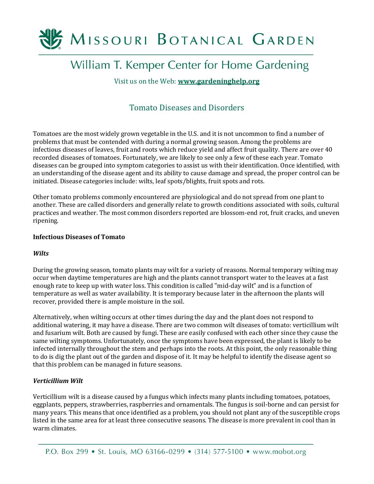

# William T. Kemper Center for Home Gardening

Visit us on the Web: **[www.gardeninghelp.org](http://www.gardeninghelp.org/)**

# Tomato Diseases and Disorders

Tomatoes are the most widely grown vegetable in the U.S. and it is not uncommon to find a number of problems that must be contended with during a normal growing season. Among the problems are infectious diseases of leaves, fruit and roots which reduce yield and affect fruit quality. There are over 40 recorded diseases of tomatoes. Fortunately, we are likely to see only a few of these each year. Tomato diseases can be grouped into symptom categories to assist us with their identification. Once identified, with an understanding of the disease agent and its ability to cause damage and spread, the proper control can be initiated. Disease categories include: wilts, leaf spots/blights, fruit spots and rots.

Other tomato problems commonly encountered are physiological and do not spread from one plant to another. These are called disorders and generally relate to growth conditions associated with soils, cultural practices and weather. The most common disorders reported are blossom-end rot, fruit cracks, and uneven ripening.

#### **Infectious Diseases of Tomato**

#### *Wilts*

During the growing season, tomato plants may wilt for a variety of reasons. Normal temporary wilting may occur when daytime temperatures are high and the plants cannot transport water to the leaves at a fast enough rate to keep up with water loss. This condition is called "mid-day wilt" and is a function of temperature as well as water availability. It is temporary because later in the afternoon the plants will recover, provided there is ample moisture in the soil.

Alternatively, when wilting occurs at other times during the day and the plant does not respond to additional watering, it may have a disease. There are two common wilt diseases of tomato: verticillium wilt and fusarium wilt. Both are caused by fungi. These are easily confused with each other since they cause the same wilting symptoms. Unfortunately, once the symptoms have been expressed, the plant is likely to be infected internally throughout the stem and perhaps into the roots. At this point, the only reasonable thing to do is dig the plant out of the garden and dispose of it. It may be helpful to identify the disease agent so that this problem can be managed in future seasons.

## *Verticillium Wilt*

Verticillium wilt is a disease caused by a fungus which infects many plants including tomatoes, potatoes, eggplants, peppers, strawberries, raspberries and ornamentals. The fungus is soil-borne and can persist for many years. This means that once identified as a problem, you should not plant any of the susceptible crops listed in the same area for at least three consecutive seasons. The disease is more prevalent in cool than in warm climates.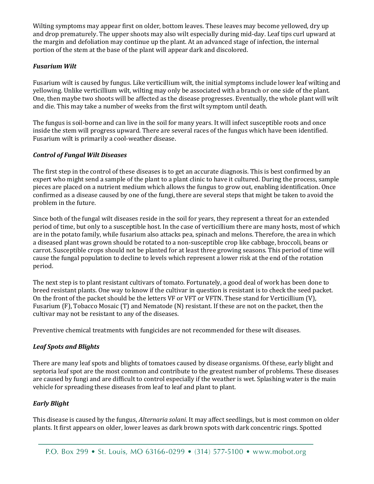Wilting symptoms may appear first on older, bottom leaves. These leaves may become yellowed, dry up and drop prematurely. The upper shoots may also wilt especially during mid-day. Leaf tips curl upward at the margin and defoliation may continue up the plant. At an advanced stage of infection, the internal portion of the stem at the base of the plant will appear dark and discolored.

# *Fusarium Wilt*

Fusarium wilt is caused by fungus. Like verticillium wilt, the initial symptoms include lower leaf wilting and yellowing. Unlike verticillium wilt, wilting may only be associated with a branch or one side of the plant. One, then maybe two shoots will be affected as the disease progresses. Eventually, the whole plant will wilt and die. This may take a number of weeks from the first wilt symptom until death.

The fungus is soil-borne and can live in the soil for many years. It will infect susceptible roots and once inside the stem will progress upward. There are several races of the fungus which have been identified. Fusarium wilt is primarily a cool-weather disease.

## *Control of Fungal Wilt Diseases*

The first step in the control of these diseases is to get an accurate diagnosis. This is best confirmed by an expert who might send a sample of the plant to a plant clinic to have it cultured. During the process, sample pieces are placed on a nutrient medium which allows the fungus to grow out, enabling identification. Once confirmed as a disease caused by one of the fungi, there are several steps that might be taken to avoid the problem in the future.

Since both of the fungal wilt diseases reside in the soil for years, they represent a threat for an extended period of time, but only to a susceptible host. In the case of verticillium there are many hosts, most of which are in the potato family, while fusarium also attacks pea, spinach and melons. Therefore, the area in which a diseased plant was grown should be rotated to a non-susceptible crop like cabbage, broccoli, beans or carrot. Susceptible crops should not be planted for at least three growing seasons. This period of time will cause the fungal population to decline to levels which represent a lower risk at the end of the rotation period.

The next step is to plant resistant cultivars of tomato. Fortunately, a good deal of work has been done to breed resistant plants. One way to know if the cultivar in question is resistant is to check the seed packet. On the front of the packet should be the letters VF or VFT or VFTN. These stand for Verticillium (V), Fusarium (F), Tobacco Mosaic (T) and Nematode (N) resistant. If these are not on the packet, then the cultivar may not be resistant to any of the diseases.

Preventive chemical treatments with fungicides are not recommended for these wilt diseases.

## *Leaf Spots and Blights*

There are many leaf spots and blights of tomatoes caused by disease organisms. Of these, early blight and septoria leaf spot are the most common and contribute to the greatest number of problems. These diseases are caused by fungi and are difficult to control especially if the weather is wet. Splashing water is the main vehicle for spreading these diseases from leaf to leaf and plant to plant.

## *Early Blight*

This disease is caused by the fungus, *Alternaria solani*. It may affect seedlings, but is most common on older plants. It first appears on older, lower leaves as dark brown spots with dark concentric rings. Spotted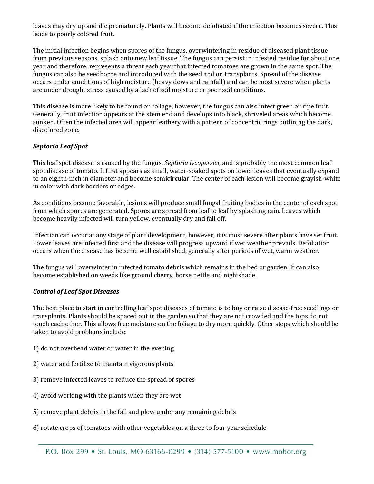leaves may dry up and die prematurely. Plants will become defoliated if the infection becomes severe. This leads to poorly colored fruit.

The initial infection begins when spores of the fungus, overwintering in residue of diseased plant tissue from previous seasons, splash onto new leaf tissue. The fungus can persist in infested residue for about one year and therefore, represents a threat each year that infected tomatoes are grown in the same spot. The fungus can also be seedborne and introduced with the seed and on transplants. Spread of the disease occurs under conditions of high moisture (heavy dews and rainfall) and can be most severe when plants are under drought stress caused by a lack of soil moisture or poor soil conditions.

This disease is more likely to be found on foliage; however, the fungus can also infect green or ripe fruit. Generally, fruit infection appears at the stem end and develops into black, shriveled areas which become sunken. Often the infected area will appear leathery with a pattern of concentric rings outlining the dark, discolored zone.

# *Septoria Leaf Spot*

This leaf spot disease is caused by the fungus, *Septoria lycopersici*, and is probably the most common leaf spot disease of tomato. It first appears as small, water-soaked spots on lower leaves that eventually expand to an eighth-inch in diameter and become semicircular. The center of each lesion will become grayish-white in color with dark borders or edges.

As conditions become favorable, lesions will produce small fungal fruiting bodies in the center of each spot from which spores are generated. Spores are spread from leaf to leaf by splashing rain. Leaves which become heavily infected will turn yellow, eventually dry and fall off.

Infection can occur at any stage of plant development, however, it is most severe after plants have set fruit. Lower leaves are infected first and the disease will progress upward if wet weather prevails. Defoliation occurs when the disease has become well established, generally after periods of wet, warm weather.

The fungus will overwinter in infected tomato debris which remains in the bed or garden. It can also become established on weeds like ground cherry, horse nettle and nightshade.

## *Control of Leaf Spot Diseases*

The best place to start in controlling leaf spot diseases of tomato is to buy or raise disease-free seedlings or transplants. Plants should be spaced out in the garden so that they are not crowded and the tops do not touch each other. This allows free moisture on the foliage to dry more quickly. Other steps which should be taken to avoid problems include:

- 1) do not overhead water or water in the evening
- 2) water and fertilize to maintain vigorous plants
- 3) remove infected leaves to reduce the spread of spores
- 4) avoid working with the plants when they are wet
- 5) remove plant debris in the fall and plow under any remaining debris
- 6) rotate crops of tomatoes with other vegetables on a three to four year schedule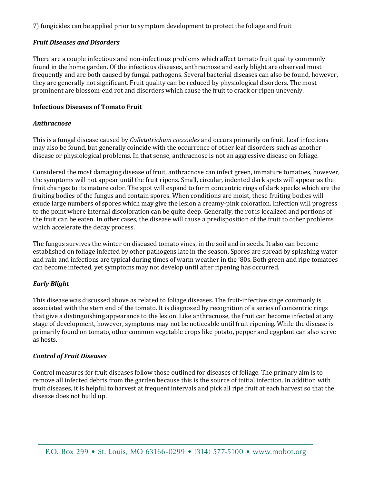7) fungicides can be applied prior to symptom development to protect the foliage and fruit

#### *Fruit Diseases and Disorders*

There are a couple infectious and non-infectious problems which affect tomato fruit quality commonly found in the home garden. Of the infectious diseases, anthracnose and early blight are observed most frequently and are both caused by fungal pathogens. Several bacterial diseases can also be found, however, they are generally not significant. Fruit quality can be reduced by physiological disorders. The most prominent are blossom-end rot and disorders which cause the fruit to crack or ripen unevenly.

#### **Infectious Diseases of Tomato Fruit**

#### *Anthracnose*

This is a fungal disease caused by *Colletotrichum coccoides* and occurs primarily on fruit. Leaf infections may also be found, but generally coincide with the occurrence of other leaf disorders such as another disease or physiological problems. In that sense, anthracnose is not an aggressive disease on foliage.

Considered the most damaging disease of fruit, anthracnose can infect green, immature tomatoes, however, the symptoms will not appear until the fruit ripens. Small, circular, indented dark spots will appear as the fruit changes to its mature color. The spot will expand to form concentric rings of dark specks which are the fruiting bodies of the fungus and contain spores. When conditions are moist, these fruiting bodies will exude large numbers of spores which may give the lesion a creamy-pink coloration. Infection will progress to the point where internal discoloration can be quite deep. Generally, the rot is localized and portions of the fruit can be eaten. In other cases, the disease will cause a predisposition of the fruit to other problems which accelerate the decay process.

The fungus survives the winter on diseased tomato vines, in the soil and in seeds. It also can become established on foliage infected by other pathogens late in the season. Spores are spread by splashing water and rain and infections are typical during times of warm weather in the '80s. Both green and ripe tomatoes can become infected, yet symptoms may not develop until after ripening has occurred.

## *Early Blight*

This disease was discussed above as related to foliage diseases. The fruit-infective stage commonly is associated with the stem end of the tomato. It is diagnosed by recognition of a series of concentric rings that give a distinguishing appearance to the lesion. Like anthracnose, the fruit can become infected at any stage of development, however, symptoms may not be noticeable until fruit ripening. While the disease is primarily found on tomato, other common vegetable crops like potato, pepper and eggplant can also serve as hosts.

## *Control of Fruit Diseases*

Control measures for fruit diseases follow those outlined for diseases of foliage. The primary aim is to remove all infected debris from the garden because this is the source of initial infection. In addition with fruit diseases, it is helpful to harvest at frequent intervals and pick all ripe fruit at each harvest so that the disease does not build up.